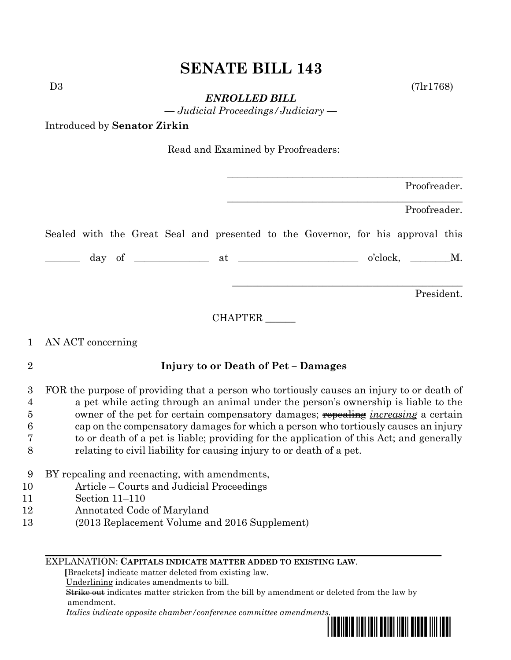# **SENATE BILL 143**

 $D3 \t\t (7lr1768)$ 

*ENROLLED BILL*

*— Judicial Proceedings/Judiciary —*

Introduced by **Senator Zirkin**

Read and Examined by Proofreaders:

|  |  |  |                |  |                                                                                 |  | Proofreader.     |            |
|--|--|--|----------------|--|---------------------------------------------------------------------------------|--|------------------|------------|
|  |  |  |                |  |                                                                                 |  | Proofreader.     |            |
|  |  |  |                |  | Sealed with the Great Seal and presented to the Governor, for his approval this |  |                  |            |
|  |  |  |                |  |                                                                                 |  | $o'clock, \t M.$ |            |
|  |  |  |                |  |                                                                                 |  |                  | President. |
|  |  |  | <b>CHAPTER</b> |  |                                                                                 |  |                  |            |

#### 1 AN ACT concerning

## 2 **Injury to or Death of Pet – Damages**

 FOR the purpose of providing that a person who tortiously causes an injury to or death of a pet while acting through an animal under the person's ownership is liable to the owner of the pet for certain compensatory damages; repealing *increasing* a certain cap on the compensatory damages for which a person who tortiously causes an injury to or death of a pet is liable; providing for the application of this Act; and generally relating to civil liability for causing injury to or death of a pet.

## 9 BY repealing and reenacting, with amendments,

- 10 Article Courts and Judicial Proceedings
- 11 Section 11–110
- 12 Annotated Code of Maryland
- 13 (2013 Replacement Volume and 2016 Supplement)

#### EXPLANATION: **CAPITALS INDICATE MATTER ADDED TO EXISTING LAW**.

 **[**Brackets**]** indicate matter deleted from existing law.

Underlining indicates amendments to bill.

 Strike out indicates matter stricken from the bill by amendment or deleted from the law by amendment.

 *Italics indicate opposite chamber/conference committee amendments.*